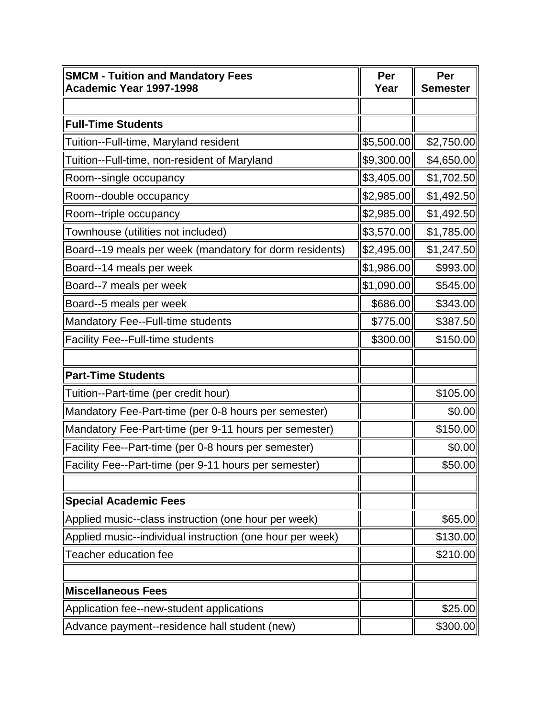| <b>SMCM - Tuition and Mandatory Fees</b><br>Academic Year 1997-1998 | Per<br>Year | Per<br><b>Semester</b> |
|---------------------------------------------------------------------|-------------|------------------------|
|                                                                     |             |                        |
| <b>Full-Time Students</b>                                           |             |                        |
| Tuition--Full-time, Maryland resident                               | \$5,500.00  | \$2,750.00             |
| Tuition--Full-time, non-resident of Maryland                        | \$9,300.00  | \$4,650.00             |
| Room--single occupancy                                              | \$3,405.00  | \$1,702.50             |
| Room--double occupancy                                              | \$2,985.00  | \$1,492.50             |
| Room--triple occupancy                                              | \$2,985.00  | \$1,492.50             |
| Townhouse (utilities not included)                                  | \$3,570.00  | \$1,785.00             |
| Board--19 meals per week (mandatory for dorm residents)             | \$2,495.00  | \$1,247.50             |
| Board--14 meals per week                                            | \$1,986.00  | \$993.00               |
| Board--7 meals per week                                             | \$1,090.00  | \$545.00               |
| Board--5 meals per week                                             | \$686.00    | \$343.00               |
| Mandatory Fee--Full-time students                                   | \$775.00    | \$387.50               |
| <b>Facility Fee--Full-time students</b>                             | \$300.00    | \$150.00               |
|                                                                     |             |                        |
| <b>Part-Time Students</b>                                           |             |                        |
| Tuition--Part-time (per credit hour)                                |             | \$105.00               |
| Mandatory Fee-Part-time (per 0-8 hours per semester)                |             | \$0.00                 |
| Mandatory Fee-Part-time (per 9-11 hours per semester)               |             | \$150.00               |
| Facility Fee--Part-time (per 0-8 hours per semester)                |             | \$0.00                 |
| Facility Fee--Part-time (per 9-11 hours per semester)               |             | \$50.00                |
|                                                                     |             |                        |
| <b>Special Academic Fees</b>                                        |             |                        |
| Applied music--class instruction (one hour per week)                |             | \$65.00                |
| Applied music--individual instruction (one hour per week)           |             | \$130.00               |
| Teacher education fee                                               |             | \$210.00               |
|                                                                     |             |                        |
| <b>Miscellaneous Fees</b>                                           |             |                        |
| Application fee--new-student applications                           |             | \$25.00                |
| Advance payment--residence hall student (new)                       |             | \$300.00               |